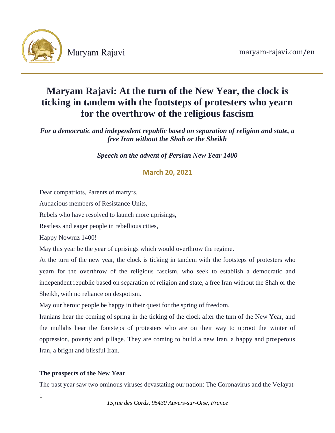

# **Maryam Rajavi: At the turn of the New Year, the clock is ticking in tandem with the footsteps of protesters who yearn for the overthrow of the religious fascism**

*For a democratic and independent republic based on separation of religion and state, a free Iran without the Shah or the Sheikh*

*Speech on the advent of Persian New Year 1400*

## **March 20, 2021**

Dear compatriots, Parents of martyrs,

Audacious members of Resistance Units,

Rebels who have resolved to launch more uprisings,

Restless and eager people in rebellious cities,

Happy Nowruz 1400!

May this year be the year of uprisings which would overthrow the regime.

At the turn of the new year, the clock is ticking in tandem with the footsteps of protesters who yearn for the overthrow of the religious fascism, who seek to establish a democratic and independent republic based on separation of religion and state, a free Iran without the Shah or the Sheikh, with no reliance on despotism.

May our heroic people be happy in their quest for the spring of freedom.

Iranians hear the coming of spring in the ticking of the clock after the turn of the New Year, and the mullahs hear the footsteps of protesters who are on their way to uproot the winter of oppression, poverty and pillage. They are coming to build a new Iran, a happy and prosperous Iran, a bright and blissful Iran.

### **The prospects of the New Year**

The past year saw two ominous viruses devastating our nation: The Coronavirus and the Velayat-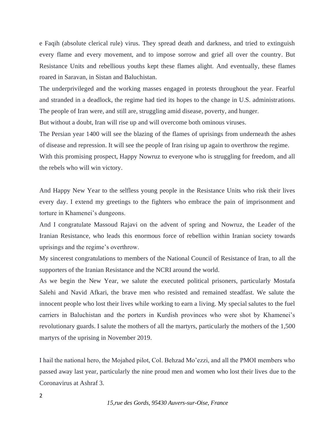e Faqih (absolute clerical rule) virus. They spread death and darkness, and tried to extinguish every flame and every movement, and to impose sorrow and grief all over the country. But Resistance Units and rebellious youths kept these flames alight. And eventually, these flames roared in Saravan, in Sistan and Baluchistan.

The underprivileged and the working masses engaged in protests throughout the year. Fearful and stranded in a deadlock, the regime had tied its hopes to the change in U.S. administrations. The people of Iran were, and still are, struggling amid disease, poverty, and hunger.

But without a doubt, Iran will rise up and will overcome both ominous viruses.

The Persian year 1400 will see the blazing of the flames of uprisings from underneath the ashes of disease and repression. It will see the people of Iran rising up again to overthrow the regime.

With this promising prospect, Happy Nowruz to everyone who is struggling for freedom, and all the rebels who will win victory.

And Happy New Year to the selfless young people in the Resistance Units who risk their lives every day. I extend my greetings to the fighters who embrace the pain of imprisonment and torture in Khamenei's dungeons.

And I congratulate Massoud Rajavi on the advent of spring and Nowruz, the Leader of the Iranian Resistance, who leads this enormous force of rebellion within Iranian society towards uprisings and the regime's overthrow.

My sincerest congratulations to members of the National Council of Resistance of Iran, to all the supporters of the Iranian Resistance and the NCRI around the world.

As we begin the New Year, we salute the executed political prisoners, particularly Mostafa Salehi and Navid Afkari, the brave men who resisted and remained steadfast. We salute the innocent people who lost their lives while working to earn a living. My special salutes to the fuel carriers in Baluchistan and the porters in Kurdish provinces who were shot by Khamenei's revolutionary guards. I salute the mothers of all the martyrs, particularly the mothers of the 1,500 martyrs of the uprising in November 2019.

I hail the national hero, the Mojahed pilot, Col. Behzad Mo'ezzi, and all the PMOI members who passed away last year, particularly the nine proud men and women who lost their lives due to the Coronavirus at Ashraf 3.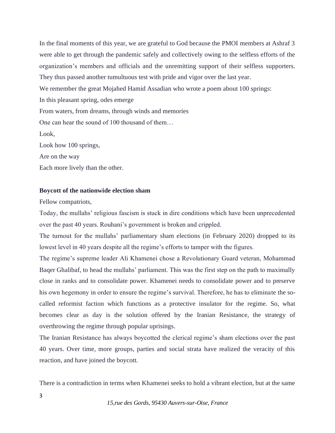In the final moments of this year, we are grateful to God because the PMOI members at Ashraf 3 were able to get through the pandemic safely and collectively owing to the selfless efforts of the organization's members and officials and the unremitting support of their selfless supporters. They thus passed another tumultuous test with pride and vigor over the last year. We remember the great Mojahed Hamid Assadian who wrote a poem about 100 springs: In this pleasant spring, odes emerge From waters, from dreams, through winds and memories One can hear the sound of 100 thousand of them… Look, Look how 100 springs, Are on the way Each more lively than the other.

#### **Boycott of the nationwide election sham**

Fellow compatriots,

Today, the mullahs' religious fascism is stuck in dire conditions which have been unprecedented over the past 40 years. Rouhani's government is broken and crippled.

The turnout for the mullahs' parliamentary sham elections (in February 2020) dropped to its lowest level in 40 years despite all the regime's efforts to tamper with the figures.

The regime's supreme leader Ali Khamenei chose a Revolutionary Guard veteran, Mohammad Baqer Ghalibaf, to head the mullahs' parliament. This was the first step on the path to maximally close in ranks and to consolidate power. Khamenei needs to consolidate power and to preserve his own hegemony in order to ensure the regime's survival. Therefore, he has to eliminate the socalled reformist faction which functions as a protective insulator for the regime. So, what becomes clear as day is the solution offered by the Iranian Resistance, the strategy of overthrowing the regime through popular uprisings.

The Iranian Resistance has always boycotted the clerical regime's sham elections over the past 40 years. Over time, more groups, parties and social strata have realized the veracity of this reaction, and have joined the boycott.

There is a contradiction in terms when Khamenei seeks to hold a vibrant election, but at the same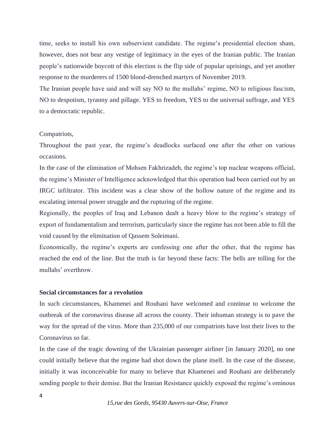time, seeks to install his own subservient candidate. The regime's presidential election sham, however, does not bear any vestige of legitimacy in the eyes of the Iranian public. The Iranian people's nationwide boycott of this election is the flip side of popular uprisings, and yet another response to the murderers of 1500 blood-drenched martyrs of November 2019.

The Iranian people have said and will say NO to the mullahs' regime, NO to religious fascism, NO to despotism, tyranny and pillage. YES to freedom, YES to the universal suffrage, and YES to a democratic republic.

#### Compatriots,

Throughout the past year, the regime's deadlocks surfaced one after the other on various occasions.

In the case of the elimination of Mohsen Fakhrizadeh, the regime's top nuclear weapons official, the regime's Minister of Intelligence acknowledged that this operation had been carried out by an IRGC infiltrator. This incident was a clear show of the hollow nature of the regime and its escalating internal power struggle and the rupturing of the regime.

Regionally, the peoples of Iraq and Lebanon dealt a heavy blow to the regime's strategy of export of fundamentalism and terrorism, particularly since the regime has not been able to fill the void caused by the elimination of Qassem Soleimani.

Economically, the regime's experts are confessing one after the other, that the regime has reached the end of the line. But the truth is far beyond these facts: The bells are tolling for the mullahs' overthrow.

#### **Social circumstances for a revolution**

In such circumstances, Khamenei and Rouhani have welcomed and continue to welcome the outbreak of the coronavirus disease all across the county. Their inhuman strategy is to pave the way for the spread of the virus. More than 235,000 of our compatriots have lost their lives to the Coronavirus so far.

In the case of the tragic downing of the Ukrainian passenger airliner [in January 2020], no one could initially believe that the regime had shot down the plane itself. In the case of the disease, initially it was inconceivable for many to believe that Khamenei and Rouhani are deliberately sending people to their demise. But the Iranian Resistance quickly exposed the regime's ominous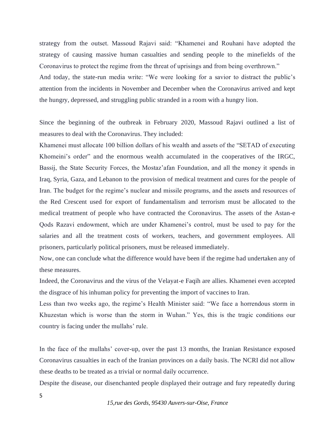strategy from the outset. Massoud Rajavi said: "Khamenei and Rouhani have adopted the strategy of causing massive human casualties and sending people to the minefields of the Coronavirus to protect the regime from the threat of uprisings and from being overthrown." And today, the state-run media write: "We were looking for a savior to distract the public's attention from the incidents in November and December when the Coronavirus arrived and kept the hungry, depressed, and struggling public stranded in a room with a hungry lion.

Since the beginning of the outbreak in February 2020, Massoud Rajavi outlined a list of measures to deal with the Coronavirus. They included:

Khamenei must allocate 100 billion dollars of his wealth and assets of the "SETAD of executing Khomeini's order" and the enormous wealth accumulated in the cooperatives of the IRGC, Bassij, the State Security Forces, the Mostaz'afan Foundation, and all the money it spends in Iraq, Syria, Gaza, and Lebanon to the provision of medical treatment and cures for the people of Iran. The budget for the regime's nuclear and missile programs, and the assets and resources of the Red Crescent used for export of fundamentalism and terrorism must be allocated to the medical treatment of people who have contracted the Coronavirus. The assets of the Astan-e Qods Razavi endowment, which are under Khamenei's control, must be used to pay for the salaries and all the treatment costs of workers, teachers, and government employees. All prisoners, particularly political prisoners, must be released immediately.

Now, one can conclude what the difference would have been if the regime had undertaken any of these measures.

Indeed, the Coronavirus and the virus of the Velayat-e Faqih are allies. Khamenei even accepted the disgrace of his inhuman policy for preventing the import of vaccines to Iran.

Less than two weeks ago, the regime's Health Minister said: "We face a horrendous storm in Khuzestan which is worse than the storm in Wuhan." Yes, this is the tragic conditions our country is facing under the mullahs' rule.

In the face of the mullahs' cover-up, over the past 13 months, the Iranian Resistance exposed Coronavirus casualties in each of the Iranian provinces on a daily basis. The NCRI did not allow these deaths to be treated as a trivial or normal daily occurrence.

Despite the disease, our disenchanted people displayed their outrage and fury repeatedly during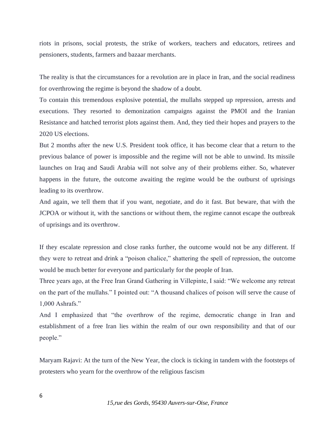riots in prisons, social protests, the strike of workers, teachers and educators, retirees and pensioners, students, farmers and bazaar merchants.

The reality is that the circumstances for a revolution are in place in Iran, and the social readiness for overthrowing the regime is beyond the shadow of a doubt.

To contain this tremendous explosive potential, the mullahs stepped up repression, arrests and executions. They resorted to demonization campaigns against the PMOI and the Iranian Resistance and hatched terrorist plots against them. And, they tied their hopes and prayers to the 2020 US elections.

But 2 months after the new U.S. President took office, it has become clear that a return to the previous balance of power is impossible and the regime will not be able to unwind. Its missile launches on Iraq and Saudi Arabia will not solve any of their problems either. So, whatever happens in the future, the outcome awaiting the regime would be the outburst of uprisings leading to its overthrow.

And again, we tell them that if you want, negotiate, and do it fast. But beware, that with the JCPOA or without it, with the sanctions or without them, the regime cannot escape the outbreak of uprisings and its overthrow.

If they escalate repression and close ranks further, the outcome would not be any different. If they were to retreat and drink a "poison chalice," shattering the spell of repression, the outcome would be much better for everyone and particularly for the people of Iran.

Three years ago, at the Free Iran Grand Gathering in Villepinte, I said: "We welcome any retreat on the part of the mullahs." I pointed out: "A thousand chalices of poison will serve the cause of 1,000 Ashrafs."

And I emphasized that "the overthrow of the regime, democratic change in Iran and establishment of a free Iran lies within the realm of our own responsibility and that of our people."

Maryam Rajavi: At the turn of the New Year, the clock is ticking in tandem with the footsteps of protesters who yearn for the overthrow of the religious fascism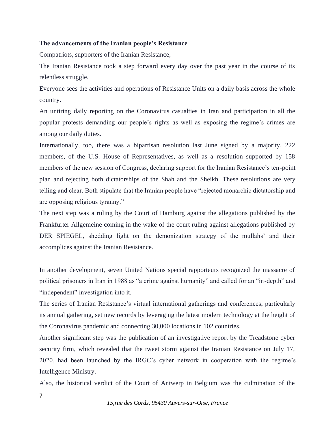#### **The advancements of the Iranian people's Resistance**

Compatriots, supporters of the Iranian Resistance,

The Iranian Resistance took a step forward every day over the past year in the course of its relentless struggle.

Everyone sees the activities and operations of Resistance Units on a daily basis across the whole country.

An untiring daily reporting on the Coronavirus casualties in Iran and participation in all the popular protests demanding our people's rights as well as exposing the regime's crimes are among our daily duties.

Internationally, too, there was a bipartisan resolution last June signed by a majority, 222 members, of the U.S. House of Representatives, as well as a resolution supported by 158 members of the new session of Congress, declaring support for the Iranian Resistance's ten-point plan and rejecting both dictatorships of the Shah and the Sheikh. These resolutions are very telling and clear. Both stipulate that the Iranian people have "rejected monarchic dictatorship and are opposing religious tyranny."

The next step was a ruling by the Court of Hamburg against the allegations published by the Frankfurter Allgemeine coming in the wake of the court ruling against allegations published by DER SPIEGEL, shedding light on the demonization strategy of the mullahs' and their accomplices against the Iranian Resistance.

In another development, seven United Nations special rapporteurs recognized the massacre of political prisoners in Iran in 1988 as "a crime against humanity" and called for an "in-depth" and "independent" investigation into it.

The series of Iranian Resistance's virtual international gatherings and conferences, particularly its annual gathering, set new records by leveraging the latest modern technology at the height of the Coronavirus pandemic and connecting 30,000 locations in 102 countries.

Another significant step was the publication of an investigative report by the Treadstone cyber security firm, which revealed that the tweet storm against the Iranian Resistance on July 17, 2020, had been launched by the IRGC's cyber network in cooperation with the regime's Intelligence Ministry.

Also, the historical verdict of the Court of Antwerp in Belgium was the culmination of the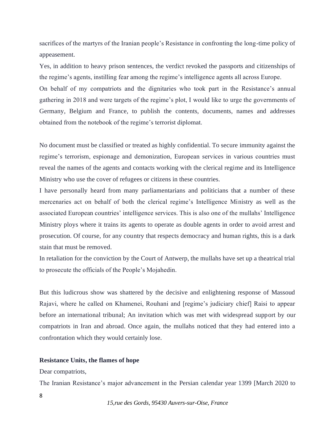sacrifices of the martyrs of the Iranian people's Resistance in confronting the long-time policy of appeasement.

Yes, in addition to heavy prison sentences, the verdict revoked the passports and citizenships of the regime's agents, instilling fear among the regime's intelligence agents all across Europe.

On behalf of my compatriots and the dignitaries who took part in the Resistance's annual gathering in 2018 and were targets of the regime's plot, I would like to urge the governments of Germany, Belgium and France, to publish the contents, documents, names and addresses obtained from the notebook of the regime's terrorist diplomat.

No document must be classified or treated as highly confidential. To secure immunity against the regime's terrorism, espionage and demonization, European services in various countries must reveal the names of the agents and contacts working with the clerical regime and its Intelligence Ministry who use the cover of refugees or citizens in these countries.

I have personally heard from many parliamentarians and politicians that a number of these mercenaries act on behalf of both the clerical regime's Intelligence Ministry as well as the associated European countries' intelligence services. This is also one of the mullahs' Intelligence Ministry ploys where it trains its agents to operate as double agents in order to avoid arrest and prosecution. Of course, for any country that respects democracy and human rights, this is a dark stain that must be removed.

In retaliation for the conviction by the Court of Antwerp, the mullahs have set up a theatrical trial to prosecute the officials of the People's Mojahedin.

But this ludicrous show was shattered by the decisive and enlightening response of Massoud Rajavi, where he called on Khamenei, Rouhani and [regime's judiciary chief] Raisi to appear before an international tribunal; An invitation which was met with widespread support by our compatriots in Iran and abroad. Once again, the mullahs noticed that they had entered into a confrontation which they would certainly lose.

#### **Resistance Units, the flames of hope**

Dear compatriots,

The Iranian Resistance's major advancement in the Persian calendar year 1399 [March 2020 to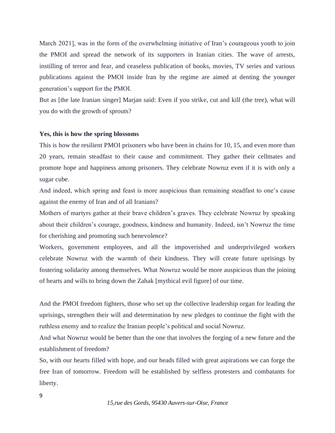March 2021], was in the form of the overwhelming initiative of Iran's courageous youth to join the PMOI and spread the network of its supporters in Iranian cities. The wave of arrests, instilling of terror and fear, and ceaseless publication of books, movies, TV series and various publications against the PMOI inside Iran by the regime are aimed at denting the younger generation's support for the PMOI.

But as [the late Iranian singer] Marjan said: Even if you strike, cut and kill (the tree), what will you do with the growth of sprouts?

#### **Yes, this is how the spring blossoms**

This is how the resilient PMOI prisoners who have been in chains for 10, 15, and even more than 20 years, remain steadfast to their cause and commitment. They gather their cellmates and promote hope and happiness among prisoners. They celebrate Nowruz even if it is with only a sugar cube.

And indeed, which spring and feast is more auspicious than remaining steadfast to one's cause against the enemy of Iran and of all Iranians?

Mothers of martyrs gather at their brave children's graves. They celebrate Nowruz by speaking about their children's courage, goodness, kindness and humanity. Indeed, isn't Nowruz the time for cherishing and promoting such benevolence?

Workers, government employees, and all the impoverished and underprivileged workers celebrate Nowruz with the warmth of their kindness. They will create future uprisings by fostering solidarity among themselves. What Nowruz would be more auspicious than the joining of hearts and wills to bring down the Zahak [mythical evil figure] of our time.

And the PMOI freedom fighters, those who set up the collective leadership organ for leading the uprisings, strengthen their will and determination by new pledges to continue the fight with the ruthless enemy and to realize the Iranian people's political and social Nowruz.

And what Nowruz would be better than the one that involves the forging of a new future and the establishment of freedom?

So, with our hearts filled with hope, and our heads filled with great aspirations we can forge the free Iran of tomorrow. Freedom will be established by selfless protesters and combatants for liberty.